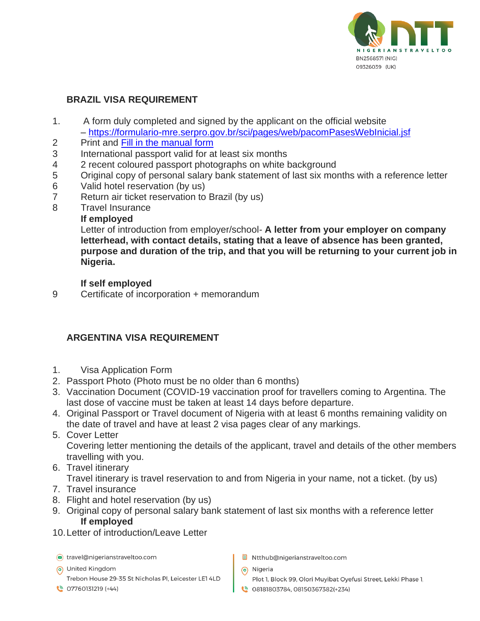

#### **BRAZIL VISA REQUIREMENT**

- 1. A form duly completed and signed by the applicant on the official website – <https://formulario-mre.serpro.gov.br/sci/pages/web/pacomPasesWebInicial.jsf>
- 2 Print and [Fill in the manual form](http://sistemas.mre.gov.br/kitweb/datafiles/Lagos/en-us/file/formulario%20(1)%20(1).doc)
- 3 International passport valid for at least six months
- 4 2 recent coloured passport photographs on white background
- 5 Original copy of personal salary bank statement of last six months with a reference letter
- 6 Valid hotel reservation (by us)
- 7 Return air ticket reservation to Brazil (by us)
- 8 Travel Insurance

#### **If employed**

Letter of introduction from employer/school- **A letter from your employer on company letterhead, with contact details, stating that a leave of absence has been granted, purpose and duration of the trip, and that you will be returning to your current job in Nigeria.**

#### **If self employed**

9 Certificate of incorporation + memorandum

## **ARGENTINA VISA REQUIREMENT**

- 1. Visa Application Form
- 2. Passport Photo (Photo must be no older than 6 months)
- 3. Vaccination Document (COVID-19 vaccination proof for travellers coming to Argentina. The last dose of vaccine must be taken at least 14 days before departure.
- 4. Original Passport or Travel document of Nigeria with at least 6 months remaining validity on the date of travel and have at least 2 visa pages clear of any markings.
- 5. Cover Letter Covering letter mentioning the details of the applicant, travel and details of the other members travelling with you.
- 6. Travel itinerary

Travel itinerary is travel reservation to and from Nigeria in your name, not a ticket. (by us)

- 7. Travel insurance
- 8. Flight and hotel reservation (by us)
- 9. Original copy of personal salary bank statement of last six months with a reference letter **If employed**
- 10.Letter of introduction/Leave Letter

travel@nigerianstraveltoo.com

- 6 United Kingdom Trebon House 29-35 St Nicholas Pl, Leicester LE1 4LD
- $\circ$  07760131219 (+44)
- B Ntthub@nigerianstraveltoo.com
- (b) Nigeria
	- Plot 1, Block 99, Olori Muyibat Oyefusi Street, Lekki Phase 1,
- 08181803784, 08150367382(+234)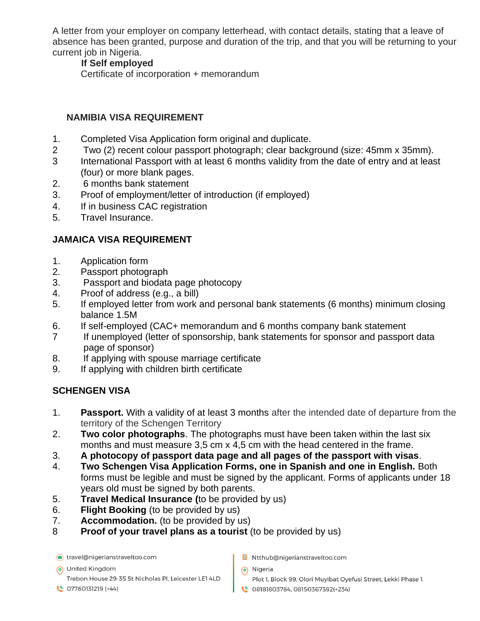A letter from your employer on company letterhead, with contact details, stating that a leave of absence has been granted, purpose and duration of the trip, and that you will be returning to your current job in Nigeria.

#### **If Self employed**

Certificate of incorporation + memorandum

#### **NAMIBIA VISA REQUIREMENT**

- 1. Completed Visa Application form original and duplicate.
- 2 Two (2) recent colour passport photograph; clear background (size: 45mm x 35mm).
- 3 International Passport with at least 6 months validity from the date of entry and at least (four) or more blank pages.
- 2. 6 months bank statement
- 3. Proof of employment/letter of introduction (if employed)
- 4. If in business CAC registration
- 5. Travel Insurance.

# **JAMAICA VISA REQUIREMENT**

- 1. Application form
- 2. Passport photograph
- 3. Passport and biodata page photocopy
- 4. Proof of address (e.g., a bill)
- 5. If employed letter from work and personal bank statements (6 months) minimum closing balance 1.5M
- 6. If self-employed (CAC+ memorandum and 6 months company bank statement
- 7 If unemployed (letter of sponsorship, bank statements for sponsor and passport data page of sponsor)
- 8. If applying with spouse marriage certificate
- 9. If applying with children birth certificate

## **SCHENGEN VISA**

- 1. **Passport.** With a validity of at least 3 months after the intended date of departure from the territory of the Schengen Territory
- 2. **Two color photographs**. The photographs must have been taken within the last six months and must measure 3,5 cm x 4,5 cm with the head centered in the frame.
- 3. **A photocopy of passport data page and all pages of the passport with visas**.
- 4. **Two Schengen Visa Application Forms, one in Spanish and one in English.** Both forms must be legible and must be signed by the applicant. Forms of applicants under 18 years old must be signed by both parents.
- 5. **Travel Medical Insurance (**to be provided by us)
- 6. **Flight Booking** (to be provided by us)
- 7. **Accommodation.** (to be provided by us)
- 8 **Proof of your travel plans as a tourist** (to be provided by us)

travel@nigerianstraveltoo.com

(a) United Kingdom

Trebon House 29-35 St Nicholas Pl, Leicester LE1 4LD

 $\binom{8}{3}$  07760131219 (+44)

- B Ntthub@nigerianstraveltoo.com
- (b) Nigeria
	- Plot 1, Block 99, Olori Muyibat Oyefusi Street, Lekki Phase 1,
- 08181803784, 08150367382(+234)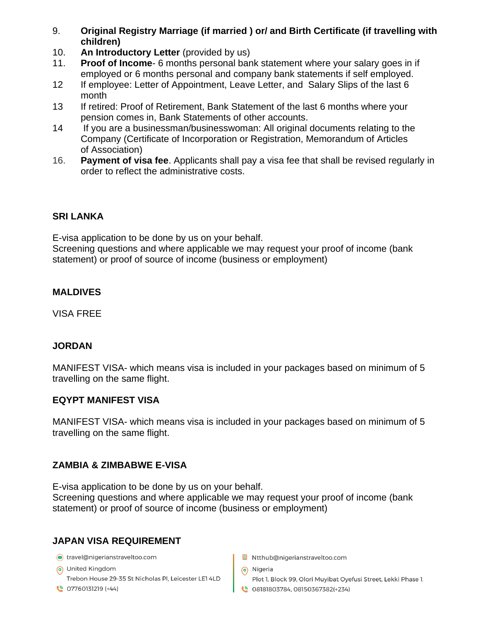- 9. **Original Registry Marriage (if married ) or/ and Birth Certificate (if travelling with children)**
- 10. **An Introductory Letter** (provided by us)
- 11. **Proof of Income** 6 months personal bank statement where your salary goes in if employed or 6 months personal and company bank statements if self employed.
- 12 If employee: Letter of Appointment, Leave Letter, and Salary Slips of the last 6 month
- 13 If retired: Proof of Retirement, Bank Statement of the last 6 months where your pension comes in, Bank Statements of other accounts.
- 14 If you are a businessman/businesswoman: All original documents relating to the Company (Certificate of Incorporation or Registration, Memorandum of Articles of Association)
- 16. **Payment of visa fee**. Applicants shall pay a visa fee that shall be revised regularly in order to reflect the administrative costs.

# **SRI LANKA**

E-visa application to be done by us on your behalf.

Screening questions and where applicable we may request your proof of income (bank statement) or proof of source of income (business or employment)

## **MALDIVES**

VISA FREE

## **JORDAN**

MANIFEST VISA- which means visa is included in your packages based on minimum of 5 travelling on the same flight.

## **EQYPT MANIFEST VISA**

MANIFEST VISA- which means visa is included in your packages based on minimum of 5 travelling on the same flight.

# **ZAMBIA & ZIMBABWE E-VISA**

E-visa application to be done by us on your behalf. Screening questions and where applicable we may request your proof of income (bank statement) or proof of source of income (business or employment)

# **JAPAN VISA REQUIREMENT**

travel@nigerianstraveltoo.com

(a) United Kingdom Trebon House 29-35 St Nicholas Pl, Leicester LE1 4LD

 $\circ$  07760131219 (+44)

- B Ntthub@nigerianstraveltoo.com
- (b) Nigeria
	- Plot 1, Block 99, Olori Muyibat Oyefusi Street, Lekki Phase 1,
- 08181803784, 08150367382(+234)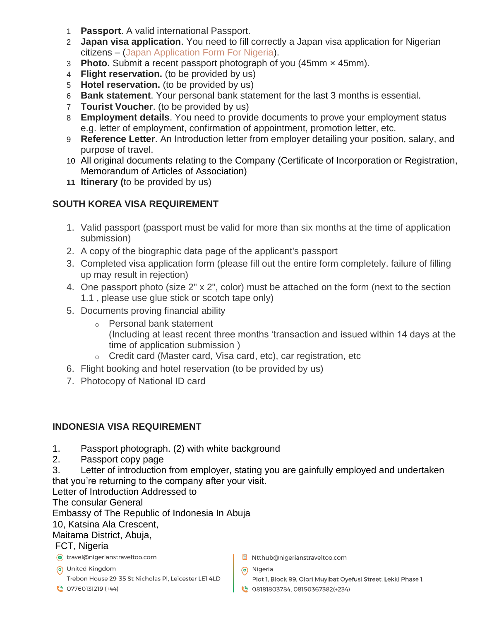- 1 **Passport**. A valid international Passport.
- 2 **Japan visa application**. You need to fill correctly a Japan visa application for Nigerian citizens – [\(Japan Application Form For Nigeria\)](https://www.visapaper.com/blog/wp-content/uploads/2019/09/Japan-Visa-Application-For-Nigeria.pdf).
- 3 **Photo.** Submit a recent passport photograph of you (45mm × 45mm).
- 4 **Flight reservation.** (to be provided by us)
- 5 **Hotel reservation.** (to be provided by us)
- 6 **Bank statement**. Your personal bank statement for the last 3 months is essential.
- 7 **Tourist Voucher**. (to be provided by us)
- 8 **Employment details**. You need to provide documents to prove your employment status e.g. letter of employment, confirmation of appointment, promotion letter, etc.
- 9 **Reference Letter**. An Introduction letter from employer detailing your position, salary, and purpose of travel.
- 10 All original documents relating to the Company (Certificate of Incorporation or Registration, Memorandum of Articles of Association)
- **11 Itinerary (**to be provided by us)

# **SOUTH KOREA VISA REQUIREMENT**

- 1. Valid passport (passport must be valid for more than six months at the time of application submission)
- 2. A copy of the biographic data page of the applicant's passport
- 3. Completed visa application form (please fill out the entire form completely. failure of filling up may result in rejection)
- 4. One passport photo (size 2" x 2", color) must be attached on the form (next to the section 1.1 , please use glue stick or scotch tape only)
- 5. Documents proving financial ability
	- o Personal bank statement (Including at least recent three months 'transaction and issued within 14 days at the time of application submission )
	- o Credit card (Master card, Visa card, etc), car registration, etc
- 6. Flight booking and hotel reservation (to be provided by us)
- 7. Photocopy of National ID card

## **INDONESIA VISA REQUIREMENT**

- 1. Passport photograph. (2) with white background
- 2. Passport copy page
- 3. Letter of introduction from employer, stating you are gainfully employed and undertaken that you're returning to the company after your visit.

Letter of Introduction Addressed to

The consular General

Embassy of The Republic of Indonesia In Abuja

#### 10, Katsina Ala Crescent,

## Maitama District, Abuja,

#### FCT, Nigeria

travel@nigerianstraveltoo.com

- 6 United Kingdom Trebon House 29-35 St Nicholas Pl, Leicester LE1 4LD
- $\binom{18}{5}$  07760131219 (+44)
- B Ntthub@nigerianstraveltoo.com
- (o) Nigeria
	- Plot 1, Block 99, Olori Muyibat Oyefusi Street, Lekki Phase 1,
- 08181803784, 08150367382(+234)